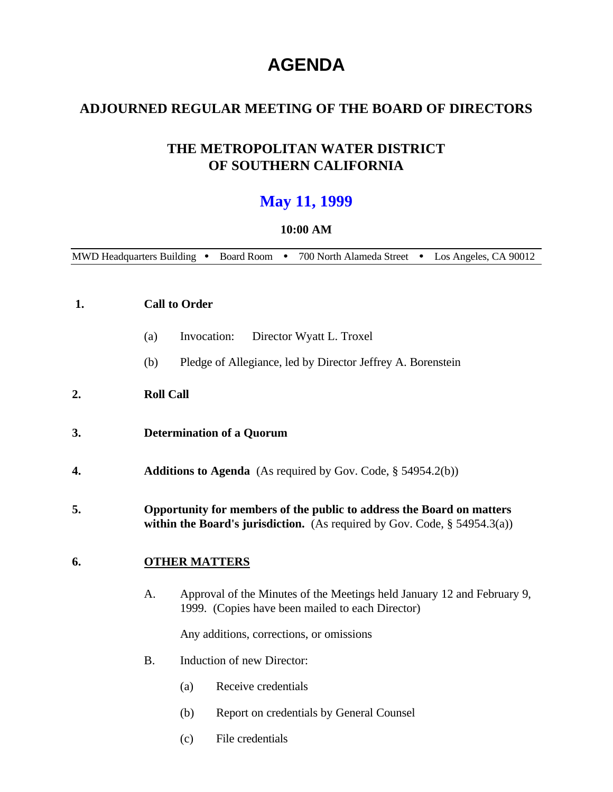# **AGENDA**

# **ADJOURNED REGULAR MEETING OF THE BOARD OF DIRECTORS**

# **THE METROPOLITAN WATER DISTRICT OF SOUTHERN CALIFORNIA**

# **May 11, 1999**

#### **10:00 AM**

MWD Headquarters Building • Board Room • 700 North Alameda Street • Los Angeles, CA 90012

| 1.<br><b>Call to Order</b> |           |                                                                                                                                                       |  |
|----------------------------|-----------|-------------------------------------------------------------------------------------------------------------------------------------------------------|--|
|                            | (a)       | Invocation:<br>Director Wyatt L. Troxel                                                                                                               |  |
|                            | (b)       | Pledge of Allegiance, led by Director Jeffrey A. Borenstein                                                                                           |  |
| 2.                         |           | <b>Roll Call</b>                                                                                                                                      |  |
| 3.                         |           | <b>Determination of a Quorum</b>                                                                                                                      |  |
| 4.                         |           | <b>Additions to Agenda</b> (As required by Gov. Code, $\S$ 54954.2(b))                                                                                |  |
| 5.                         |           | Opportunity for members of the public to address the Board on matters<br>within the Board's jurisdiction. (As required by Gov. Code, $\S$ 54954.3(a)) |  |
| 6.                         |           | <b>OTHER MATTERS</b>                                                                                                                                  |  |
|                            | A.        | Approval of the Minutes of the Meetings held January 12 and February 9,<br>1999. (Copies have been mailed to each Director)                           |  |
|                            |           | Any additions, corrections, or omissions                                                                                                              |  |
|                            | <b>B.</b> | Induction of new Director:                                                                                                                            |  |
|                            |           | Receive credentials<br>(a)                                                                                                                            |  |
|                            |           | (b)<br>Report on credentials by General Counsel                                                                                                       |  |

(c) File credentials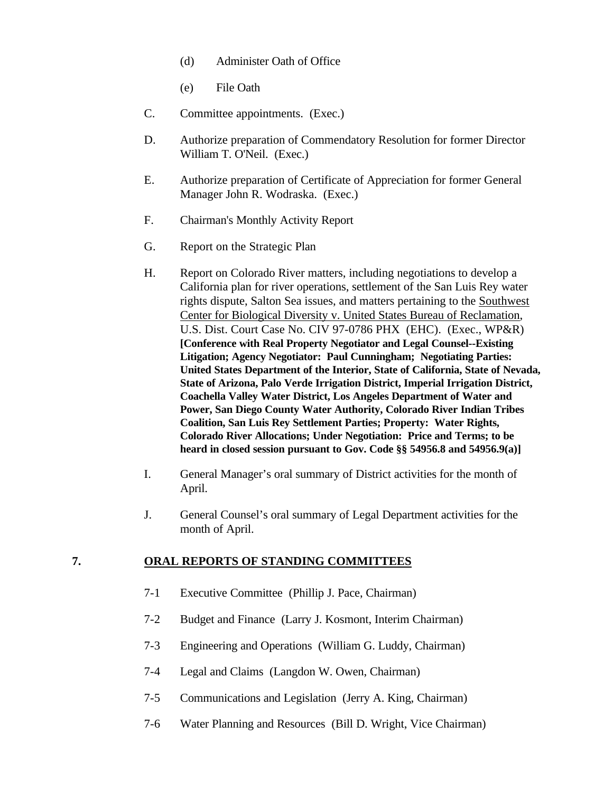- (d) Administer Oath of Office
- (e) File Oath
- C. Committee appointments. (Exec.)
- D. Authorize preparation of Commendatory Resolution for former Director William T. O'Neil. (Exec.)
- E. Authorize preparation of Certificate of Appreciation for former General Manager John R. Wodraska. (Exec.)
- F. Chairman's Monthly Activity Report
- G. Report on the Strategic Plan
- H. Report on Colorado River matters, including negotiations to develop a California plan for river operations, settlement of the San Luis Rey water rights dispute, Salton Sea issues, and matters pertaining to the Southwest Center for Biological Diversity v. United States Bureau of Reclamation, U.S. Dist. Court Case No. CIV 97-0786 PHX (EHC). (Exec., WP&R) **[Conference with Real Property Negotiator and Legal Counsel--Existing Litigation; Agency Negotiator: Paul Cunningham; Negotiating Parties: United States Department of the Interior, State of California, State of Nevada, State of Arizona, Palo Verde Irrigation District, Imperial Irrigation District, Coachella Valley Water District, Los Angeles Department of Water and Power, San Diego County Water Authority, Colorado River Indian Tribes Coalition, San Luis Rey Settlement Parties; Property: Water Rights, Colorado River Allocations; Under Negotiation: Price and Terms; to be heard in closed session pursuant to Gov. Code §§ 54956.8 and 54956.9(a)]**
- I. General Manager's oral summary of District activities for the month of April.
- J. General Counsel's oral summary of Legal Department activities for the month of April.

# **7. ORAL REPORTS OF STANDING COMMITTEES**

- 7-1 Executive Committee (Phillip J. Pace, Chairman)
- 7-2 Budget and Finance (Larry J. Kosmont, Interim Chairman)
- 7-3 Engineering and Operations (William G. Luddy, Chairman)
- 7-4 Legal and Claims (Langdon W. Owen, Chairman)
- 7-5 Communications and Legislation (Jerry A. King, Chairman)
- 7-6 Water Planning and Resources (Bill D. Wright, Vice Chairman)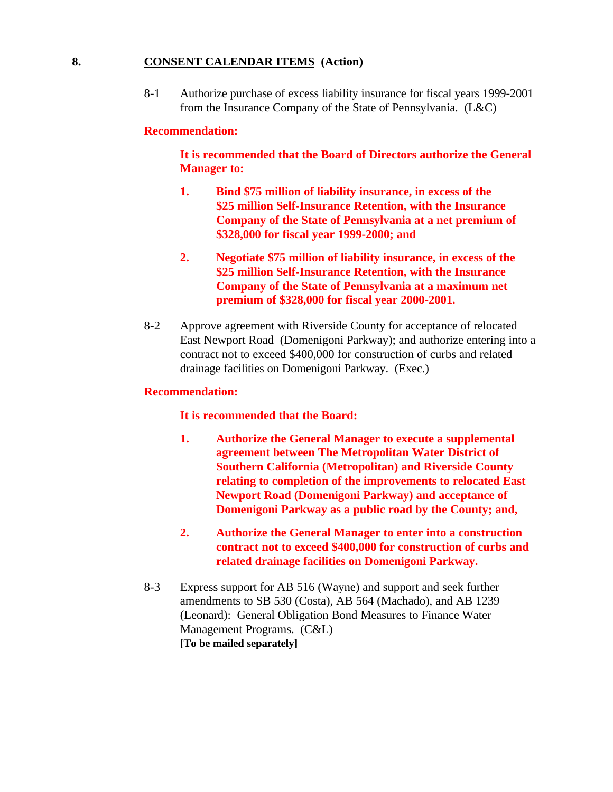#### **8. CONSENT CALENDAR ITEMS (Action)**

8-1 Authorize purchase of excess liability insurance for fiscal years 1999-2001 from the Insurance Company of the State of Pennsylvania. (L&C)

#### **Recommendation:**

**It is recommended that the Board of Directors authorize the General Manager to:**

- **1. Bind \$75 million of liability insurance, in excess of the \$25 million Self-Insurance Retention, with the Insurance Company of the State of Pennsylvania at a net premium of \$328,000 for fiscal year 1999-2000; and**
- **2. Negotiate \$75 million of liability insurance, in excess of the \$25 million Self-Insurance Retention, with the Insurance Company of the State of Pennsylvania at a maximum net premium of \$328,000 for fiscal year 2000-2001.**
- 8-2 Approve agreement with Riverside County for acceptance of relocated East Newport Road (Domenigoni Parkway); and authorize entering into a contract not to exceed \$400,000 for construction of curbs and related drainage facilities on Domenigoni Parkway. (Exec.)

#### **Recommendation:**

#### **It is recommended that the Board:**

- **1. Authorize the General Manager to execute a supplemental agreement between The Metropolitan Water District of Southern California (Metropolitan) and Riverside County relating to completion of the improvements to relocated East Newport Road (Domenigoni Parkway) and acceptance of Domenigoni Parkway as a public road by the County; and,**
- **2. Authorize the General Manager to enter into a construction contract not to exceed \$400,000 for construction of curbs and related drainage facilities on Domenigoni Parkway.**
- 8-3 Express support for AB 516 (Wayne) and support and seek further amendments to SB 530 (Costa), AB 564 (Machado), and AB 1239 (Leonard): General Obligation Bond Measures to Finance Water Management Programs. (C&L) **[To be mailed separately]**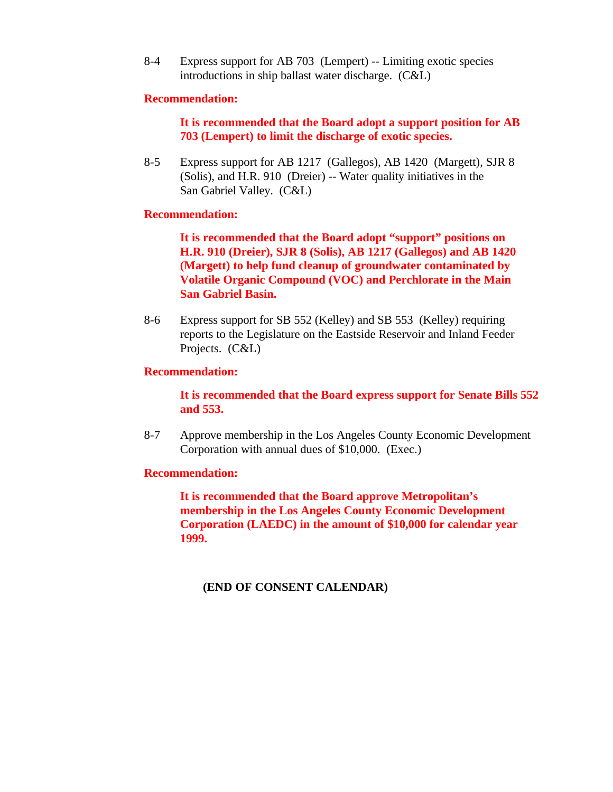8-4 Express support for AB 703 (Lempert) -- Limiting exotic species introductions in ship ballast water discharge. (C&L)

#### **Recommendation:**

# **It is recommended that the Board adopt a support position for AB 703 (Lempert) to limit the discharge of exotic species.**

8-5 Express support for AB 1217 (Gallegos), AB 1420 (Margett), SJR 8 (Solis), and H.R. 910 (Dreier) -- Water quality initiatives in the San Gabriel Valley. (C&L)

#### **Recommendation:**

**It is recommended that the Board adopt "support" positions on H.R. 910 (Dreier), SJR 8 (Solis), AB 1217 (Gallegos) and AB 1420 (Margett) to help fund cleanup of groundwater contaminated by Volatile Organic Compound (VOC) and Perchlorate in the Main San Gabriel Basin.**

8-6 Express support for SB 552 (Kelley) and SB 553 (Kelley) requiring reports to the Legislature on the Eastside Reservoir and Inland Feeder Projects. (C&L)

#### **Recommendation:**

**It is recommended that the Board express support for Senate Bills 552 and 553.**

8-7 Approve membership in the Los Angeles County Economic Development Corporation with annual dues of \$10,000. (Exec.)

#### **Recommendation:**

**It is recommended that the Board approve Metropolitan's membership in the Los Angeles County Economic Development Corporation (LAEDC) in the amount of \$10,000 for calendar year 1999.**

#### **(END OF CONSENT CALENDAR)**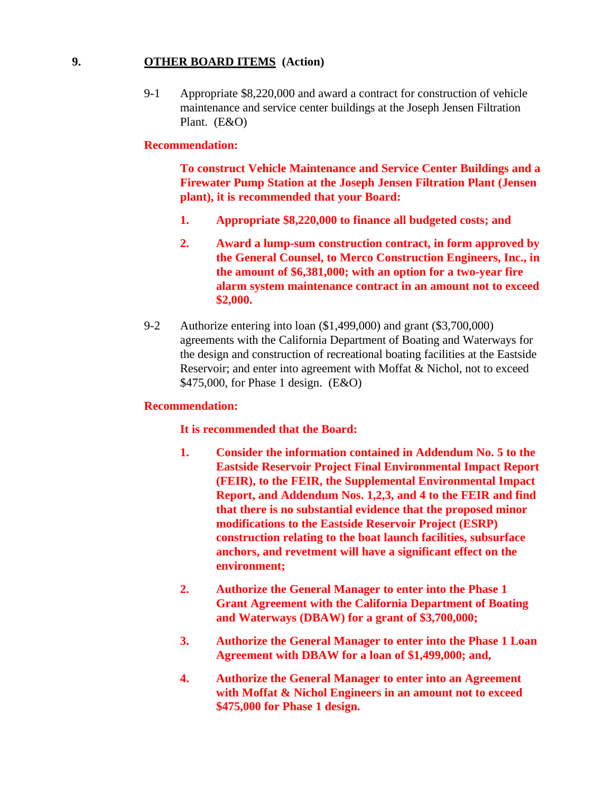### **9. OTHER BOARD ITEMS (Action)**

9-1 Appropriate \$8,220,000 and award a contract for construction of vehicle maintenance and service center buildings at the Joseph Jensen Filtration Plant. (E&O)

#### **Recommendation:**

**To construct Vehicle Maintenance and Service Center Buildings and a Firewater Pump Station at the Joseph Jensen Filtration Plant (Jensen plant), it is recommended that your Board:**

- **1. Appropriate \$8,220,000 to finance all budgeted costs; and**
- **2. Award a lump-sum construction contract, in form approved by the General Counsel, to Merco Construction Engineers, Inc., in the amount of \$6,381,000; with an option for a two-year fire alarm system maintenance contract in an amount not to exceed \$2,000.**
- 9-2 Authorize entering into loan (\$1,499,000) and grant (\$3,700,000) agreements with the California Department of Boating and Waterways for the design and construction of recreational boating facilities at the Eastside Reservoir; and enter into agreement with Moffat & Nichol, not to exceed \$475,000, for Phase 1 design. (E&O)

#### **Recommendation:**

#### **It is recommended that the Board:**

- **1. Consider the information contained in Addendum No. 5 to the Eastside Reservoir Project Final Environmental Impact Report (FEIR), to the FEIR, the Supplemental Environmental Impact Report, and Addendum Nos. 1,2,3, and 4 to the FEIR and find that there is no substantial evidence that the proposed minor modifications to the Eastside Reservoir Project (ESRP) construction relating to the boat launch facilities, subsurface anchors, and revetment will have a significant effect on the environment;**
- **2. Authorize the General Manager to enter into the Phase 1 Grant Agreement with the California Department of Boating and Waterways (DBAW) for a grant of \$3,700,000;**
- **3. Authorize the General Manager to enter into the Phase 1 Loan Agreement with DBAW for a loan of \$1,499,000; and,**
- **4. Authorize the General Manager to enter into an Agreement with Moffat & Nichol Engineers in an amount not to exceed \$475,000 for Phase 1 design.**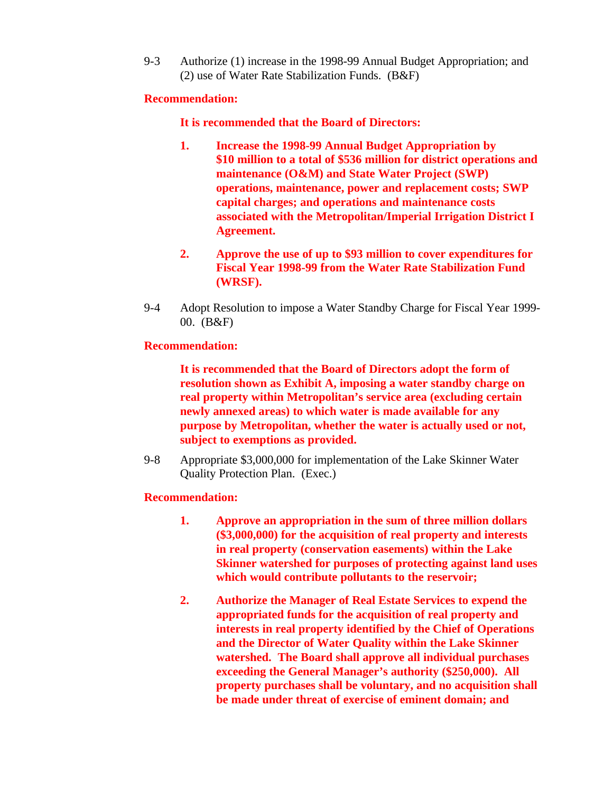9-3 Authorize (1) increase in the 1998-99 Annual Budget Appropriation; and (2) use of Water Rate Stabilization Funds. (B&F)

#### **Recommendation:**

# **It is recommended that the Board of Directors:**

- **1. Increase the 1998-99 Annual Budget Appropriation by \$10 million to a total of \$536 million for district operations and maintenance (O&M) and State Water Project (SWP) operations, maintenance, power and replacement costs; SWP capital charges; and operations and maintenance costs associated with the Metropolitan/Imperial Irrigation District I Agreement.**
- **2. Approve the use of up to \$93 million to cover expenditures for Fiscal Year 1998-99 from the Water Rate Stabilization Fund (WRSF).**
- 9-4 Adopt Resolution to impose a Water Standby Charge for Fiscal Year 1999- 00. (B&F)

# **Recommendation:**

**It is recommended that the Board of Directors adopt the form of resolution shown as Exhibit A, imposing a water standby charge on real property within Metropolitan's service area (excluding certain newly annexed areas) to which water is made available for any purpose by Metropolitan, whether the water is actually used or not, subject to exemptions as provided.**

9-8 Appropriate \$3,000,000 for implementation of the Lake Skinner Water Quality Protection Plan. (Exec.)

#### **Recommendation:**

- **1. Approve an appropriation in the sum of three million dollars (\$3,000,000) for the acquisition of real property and interests in real property (conservation easements) within the Lake Skinner watershed for purposes of protecting against land uses which would contribute pollutants to the reservoir;**
- **2. Authorize the Manager of Real Estate Services to expend the appropriated funds for the acquisition of real property and interests in real property identified by the Chief of Operations and the Director of Water Quality within the Lake Skinner watershed. The Board shall approve all individual purchases exceeding the General Manager's authority (\$250,000). All property purchases shall be voluntary, and no acquisition shall be made under threat of exercise of eminent domain; and**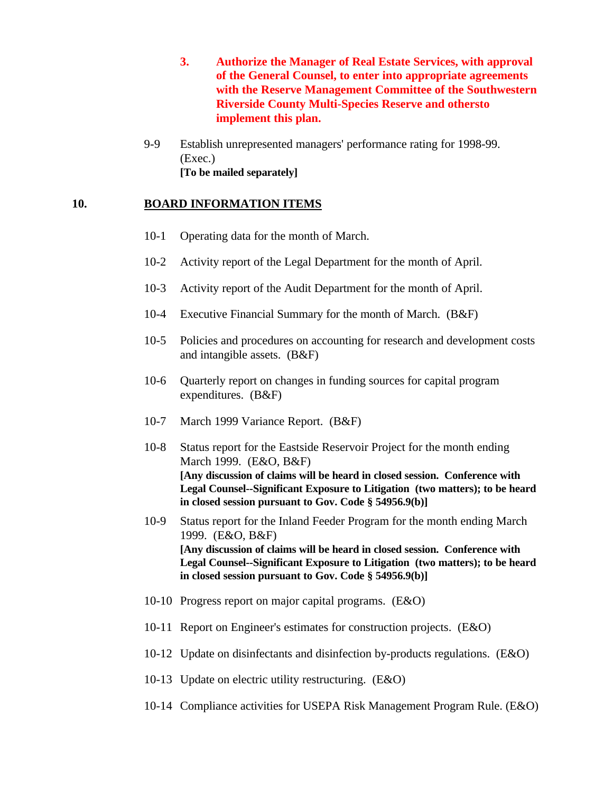- **3. Authorize the Manager of Real Estate Services, with approval of the General Counsel, to enter into appropriate agreements with the Reserve Management Committee of the Southwestern Riverside County Multi-Species Reserve and othersto implement this plan.**
- 9-9 Establish unrepresented managers' performance rating for 1998-99. (Exec.) **[To be mailed separately]**

# **10. BOARD INFORMATION ITEMS**

- 10-1 Operating data for the month of March.
- 10-2 Activity report of the Legal Department for the month of April.
- 10-3 Activity report of the Audit Department for the month of April.
- 10-4 Executive Financial Summary for the month of March. (B&F)
- 10-5 Policies and procedures on accounting for research and development costs and intangible assets. (B&F)
- 10-6 Quarterly report on changes in funding sources for capital program expenditures. (B&F)
- 10-7 March 1999 Variance Report. (B&F)
- 10-8 Status report for the Eastside Reservoir Project for the month ending March 1999. (E&O, B&F) **[Any discussion of claims will be heard in closed session. Conference with Legal Counsel--Significant Exposure to Litigation (two matters); to be heard in closed session pursuant to Gov. Code § 54956.9(b)]**
- 10-9 Status report for the Inland Feeder Program for the month ending March 1999. (E&O, B&F) **[Any discussion of claims will be heard in closed session. Conference with Legal Counsel--Significant Exposure to Litigation (two matters); to be heard in closed session pursuant to Gov. Code § 54956.9(b)]**
- 10-10 Progress report on major capital programs. (E&O)
- 10-11 Report on Engineer's estimates for construction projects. (E&O)
- 10-12 Update on disinfectants and disinfection by-products regulations. (E&O)
- 10-13 Update on electric utility restructuring. (E&O)
- 10-14 Compliance activities for USEPA Risk Management Program Rule. (E&O)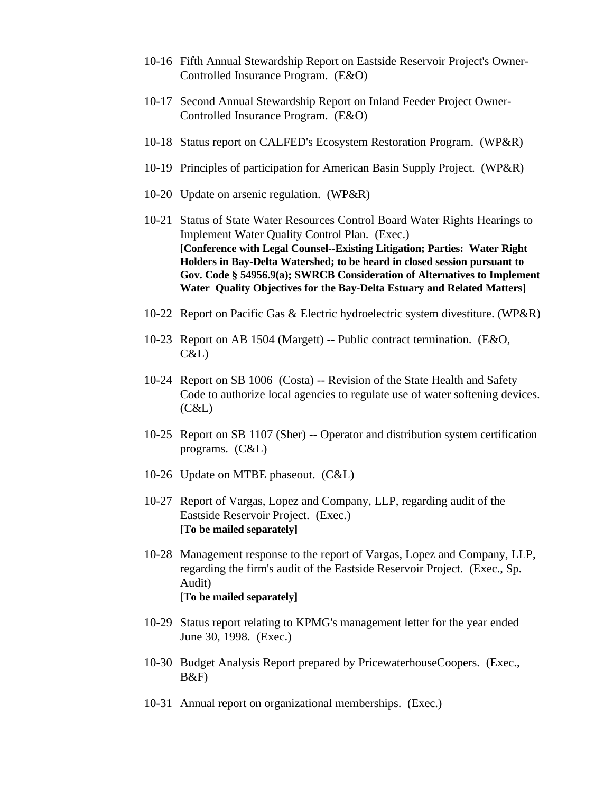- 10-16 Fifth Annual Stewardship Report on Eastside Reservoir Project's Owner-Controlled Insurance Program. (E&O)
- 10-17 Second Annual Stewardship Report on Inland Feeder Project Owner-Controlled Insurance Program. (E&O)
- 10-18 Status report on CALFED's Ecosystem Restoration Program. (WP&R)
- 10-19 Principles of participation for American Basin Supply Project. (WP&R)
- 10-20 Update on arsenic regulation. (WP&R)
- 10-21 Status of State Water Resources Control Board Water Rights Hearings to Implement Water Quality Control Plan. (Exec.) **[Conference with Legal Counsel--Existing Litigation; Parties: Water Right Holders in Bay-Delta Watershed; to be heard in closed session pursuant to Gov. Code § 54956.9(a); SWRCB Consideration of Alternatives to Implement Water Quality Objectives for the Bay-Delta Estuary and Related Matters]**
- 10-22 Report on Pacific Gas & Electric hydroelectric system divestiture. (WP&R)
- 10-23 Report on AB 1504 (Margett) -- Public contract termination. (E&O, C&L)
- 10-24 Report on SB 1006 (Costa) -- Revision of the State Health and Safety Code to authorize local agencies to regulate use of water softening devices. (C&L)
- 10-25 Report on SB 1107 (Sher) -- Operator and distribution system certification programs. (C&L)
- 10-26 Update on MTBE phaseout. (C&L)
- 10-27 Report of Vargas, Lopez and Company, LLP, regarding audit of the Eastside Reservoir Project. (Exec.) **[To be mailed separately]**
- 10-28 Management response to the report of Vargas, Lopez and Company, LLP, regarding the firm's audit of the Eastside Reservoir Project. (Exec., Sp. Audit) [**To be mailed separately]**
- 10-29 Status report relating to KPMG's management letter for the year ended June 30, 1998. (Exec.)
- 10-30 Budget Analysis Report prepared by PricewaterhouseCoopers. (Exec., B&F)
- 10-31 Annual report on organizational memberships. (Exec.)